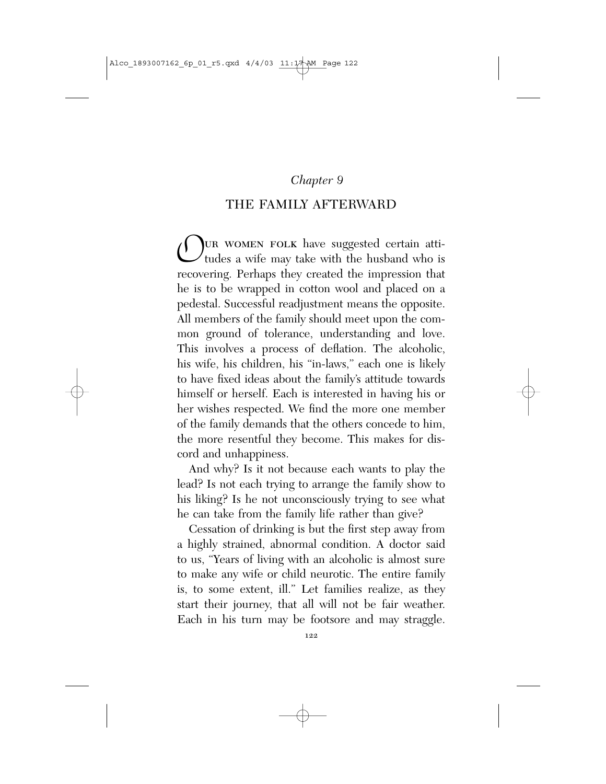## *Chapter 9*

## THE FAMILY AFTERWARD

*O*ur women folk have suggested certain attitudes a wife may take with the husband who is recovering. Perhaps they created the impression that he is to be wrapped in cotton wool and placed on a pedestal. Successful readjustment means the opposite. All members of the family should meet upon the common ground of tolerance, understanding and love. This involves a process of deflation. The alcoholic, his wife, his children, his "in-laws," each one is likely to have fixed ideas about the family's attitude towards himself or herself. Each is interested in having his or her wishes respected. We find the more one member of the family demands that the others concede to him, the more resentful they become. This makes for discord and unhappiness.

And why? Is it not because each wants to play the lead? Is not each trying to arrange the family show to his liking? Is he not unconsciously trying to see what he can take from the family life rather than give?

Cessation of drinking is but the first step away from a highly strained, abnormal condition. A doctor said to us, "Years of living with an alcoholic is almost sure to make any wife or child neurotic. The entire family is, to some extent, ill." Let families realize, as they start their journey, that all will not be fair weather. Each in his turn may be footsore and may straggle.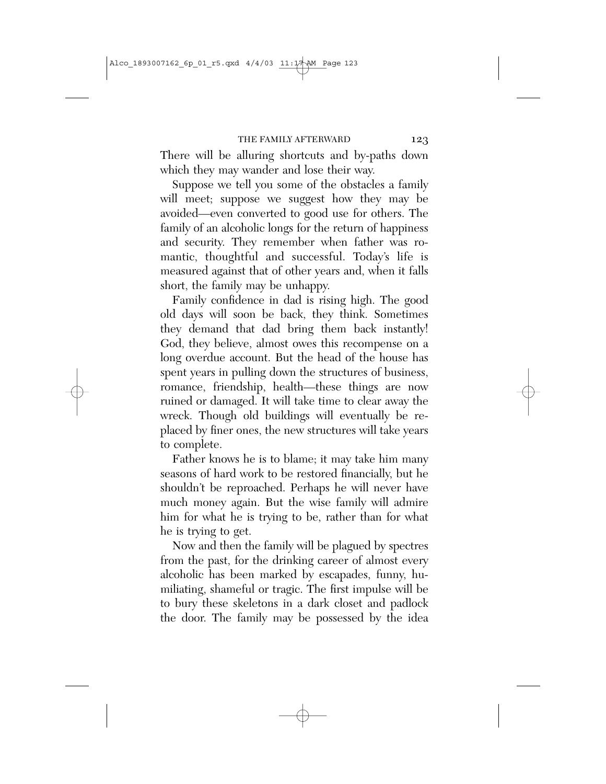There will be alluring shortcuts and by-paths down which they may wander and lose their way.

Suppose we tell you some of the obstacles a family will meet; suppose we suggest how they may be avoided—even converted to good use for others. The family of an alcoholic longs for the return of happiness and security. They remember when father was romantic, thoughtful and successful. Today's life is measured against that of other years and, when it falls short, the family may be unhappy.

Family confidence in dad is rising high. The good old days will soon be back, they think. Sometimes they demand that dad bring them back instantly! God, they believe, almost owes this recompense on a long overdue account. But the head of the house has spent years in pulling down the structures of business, romance, friendship, health—these things are now ruined or damaged. It will take time to clear away the wreck. Though old buildings will eventually be replaced by finer ones, the new structures will take years to complete.

Father knows he is to blame; it may take him many seasons of hard work to be restored financially, but he shouldn't be reproached. Perhaps he will never have much money again. But the wise family will admire him for what he is trying to be, rather than for what he is trying to get.

Now and then the family will be plagued by spectres from the past, for the drinking career of almost every alcoholic has been marked by escapades, funny, humiliating, shameful or tragic. The first impulse will be to bury these skeletons in a dark closet and padlock the door. The family may be possessed by the idea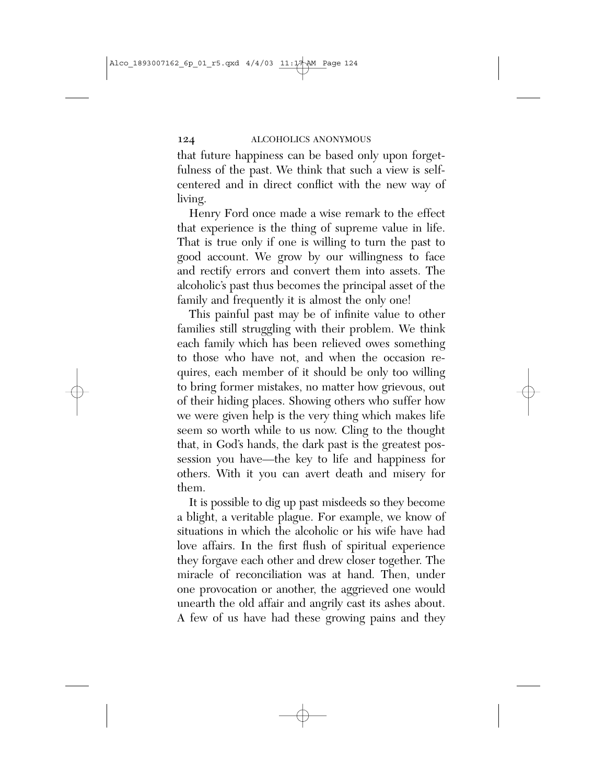that future happiness can be based only upon forgetfulness of the past. We think that such a view is selfcentered and in direct conflict with the new way of living.

Henry Ford once made a wise remark to the effect that experience is the thing of supreme value in life. That is true only if one is willing to turn the past to good account. We grow by our willingness to face and rectify errors and convert them into assets. The alcoholic's past thus becomes the principal asset of the family and frequently it is almost the only one!

This painful past may be of infinite value to other families still struggling with their problem. We think each family which has been relieved owes something to those who have not, and when the occasion requires, each member of it should be only too willing to bring former mistakes, no matter how grievous, out of their hiding places. Showing others who suffer how we were given help is the very thing which makes life seem so worth while to us now. Cling to the thought that, in God's hands, the dark past is the greatest possession you have—the key to life and happiness for others. With it you can avert death and misery for them.

It is possible to dig up past misdeeds so they become a blight, a veritable plague. For example, we know of situations in which the alcoholic or his wife have had love affairs. In the first flush of spiritual experience they forgave each other and drew closer together. The miracle of reconciliation was at hand. Then, under one provocation or another, the aggrieved one would unearth the old affair and angrily cast its ashes about. A few of us have had these growing pains and they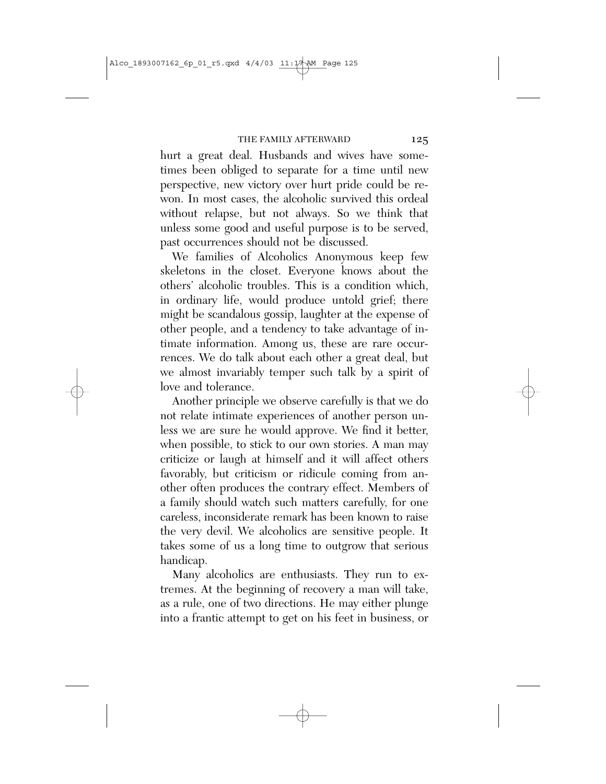hurt a great deal. Husbands and wives have sometimes been obliged to separate for a time until new perspective, new victory over hurt pride could be rewon. In most cases, the alcoholic survived this ordeal without relapse, but not always. So we think that unless some good and useful purpose is to be served, past occurrences should not be discussed.

We families of Alcoholics Anonymous keep few skeletons in the closet. Everyone knows about the others' alcoholic troubles. This is a condition which, in ordinary life, would produce untold grief; there might be scandalous gossip, laughter at the expense of other people, and a tendency to take advantage of intimate information. Among us, these are rare occurrences. We do talk about each other a great deal, but we almost invariably temper such talk by a spirit of love and tolerance.

Another principle we observe carefully is that we do not relate intimate experiences of another person unless we are sure he would approve. We find it better, when possible, to stick to our own stories. A man may criticize or laugh at himself and it will affect others favorably, but criticism or ridicule coming from another often produces the contrary effect. Members of a family should watch such matters carefully, for one careless, inconsiderate remark has been known to raise the very devil. We alcoholics are sensitive people. It takes some of us a long time to outgrow that serious handicap.

Many alcoholics are enthusiasts. They run to extremes. At the beginning of recovery a man will take, as a rule, one of two directions. He may either plunge into a frantic attempt to get on his feet in business, or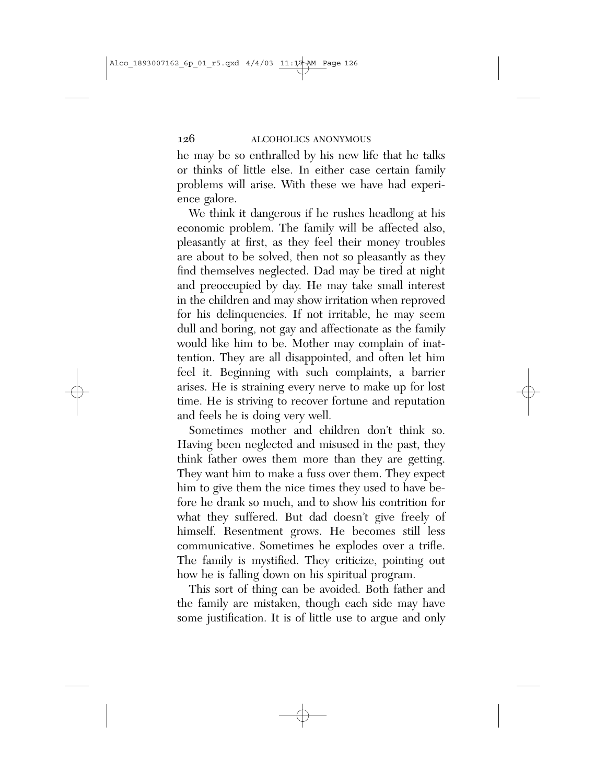he may be so enthralled by his new life that he talks or thinks of little else. In either case certain family problems will arise. With these we have had experience galore.

We think it dangerous if he rushes headlong at his economic problem. The family will be affected also, pleasantly at first, as they feel their money troubles are about to be solved, then not so pleasantly as they find themselves neglected. Dad may be tired at night and preoccupied by day. He may take small interest in the children and may show irritation when reproved for his delinquencies. If not irritable, he may seem dull and boring, not gay and affectionate as the family would like him to be. Mother may complain of inattention. They are all disappointed, and often let him feel it. Beginning with such complaints, a barrier arises. He is straining every nerve to make up for lost time. He is striving to recover fortune and reputation and feels he is doing very well.

Sometimes mother and children don't think so. Having been neglected and misused in the past, they think father owes them more than they are getting. They want him to make a fuss over them. They expect him to give them the nice times they used to have before he drank so much, and to show his contrition for what they suffered. But dad doesn't give freely of himself. Resentment grows. He becomes still less communicative. Sometimes he explodes over a trifle. The family is mystified. They criticize, pointing out how he is falling down on his spiritual program.

This sort of thing can be avoided. Both father and the family are mistaken, though each side may have some justification. It is of little use to argue and only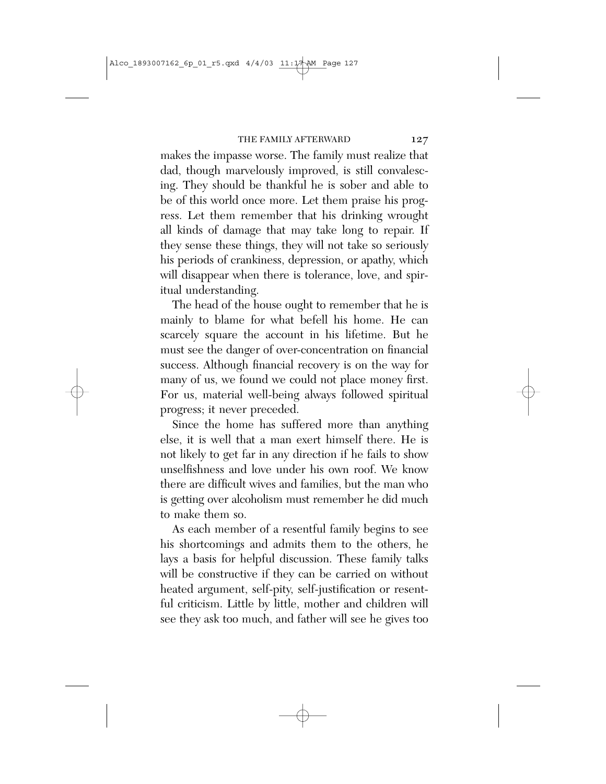makes the impasse worse. The family must realize that dad, though marvelously improved, is still convalescing. They should be thankful he is sober and able to be of this world once more. Let them praise his progress. Let them remember that his drinking wrought all kinds of damage that may take long to repair. If they sense these things, they will not take so seriously his periods of crankiness, depression, or apathy, which will disappear when there is tolerance, love, and spiritual understanding.

The head of the house ought to remember that he is mainly to blame for what befell his home. He can scarcely square the account in his lifetime. But he must see the danger of over-concentration on financial success. Although financial recovery is on the way for many of us, we found we could not place money first. For us, material well-being always followed spiritual progress; it never preceded.

Since the home has suffered more than anything else, it is well that a man exert himself there. He is not likely to get far in any direction if he fails to show unselfishness and love under his own roof. We know there are difficult wives and families, but the man who is getting over alcoholism must remember he did much to make them so.

As each member of a resentful family begins to see his shortcomings and admits them to the others, he lays a basis for helpful discussion. These family talks will be constructive if they can be carried on without heated argument, self-pity, self-justification or resentful criticism. Little by little, mother and children will see they ask too much, and father will see he gives too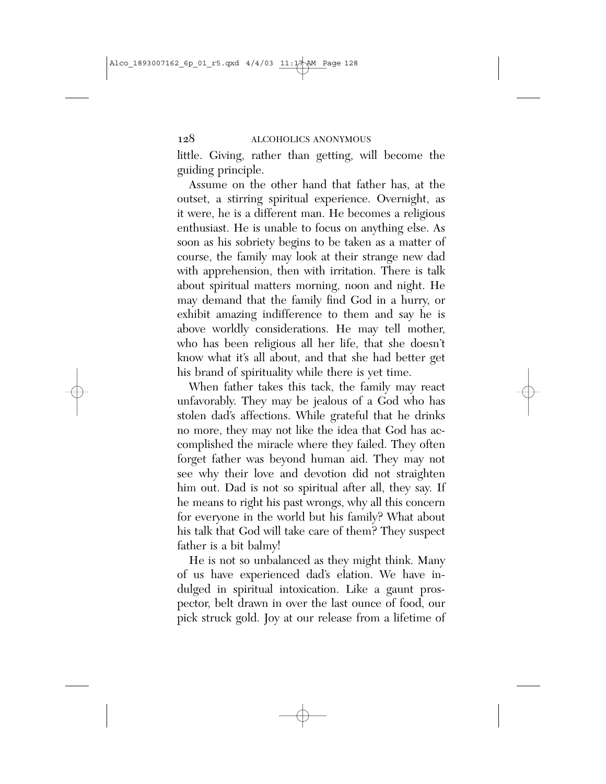little. Giving, rather than getting, will become the guiding principle.

Assume on the other hand that father has, at the outset, a stirring spiritual experience. Overnight, as it were, he is a different man. He becomes a religious enthusiast. He is unable to focus on anything else. As soon as his sobriety begins to be taken as a matter of course, the family may look at their strange new dad with apprehension, then with irritation. There is talk about spiritual matters morning, noon and night. He may demand that the family find God in a hurry, or exhibit amazing indifference to them and say he is above worldly considerations. He may tell mother, who has been religious all her life, that she doesn't know what it's all about, and that she had better get his brand of spirituality while there is yet time.

When father takes this tack, the family may react unfavorably. They may be jealous of a God who has stolen dad's affections. While grateful that he drinks no more, they may not like the idea that God has accomplished the miracle where they failed. They often forget father was beyond human aid. They may not see why their love and devotion did not straighten him out. Dad is not so spiritual after all, they say. If he means to right his past wrongs, why all this concern for everyone in the world but his family? What about his talk that God will take care of them? They suspect father is a bit balmy!

He is not so unbalanced as they might think. Many of us have experienced dad's elation. We have indulged in spiritual intoxication. Like a gaunt prospector, belt drawn in over the last ounce of food, our pick struck gold. Joy at our release from a lifetime of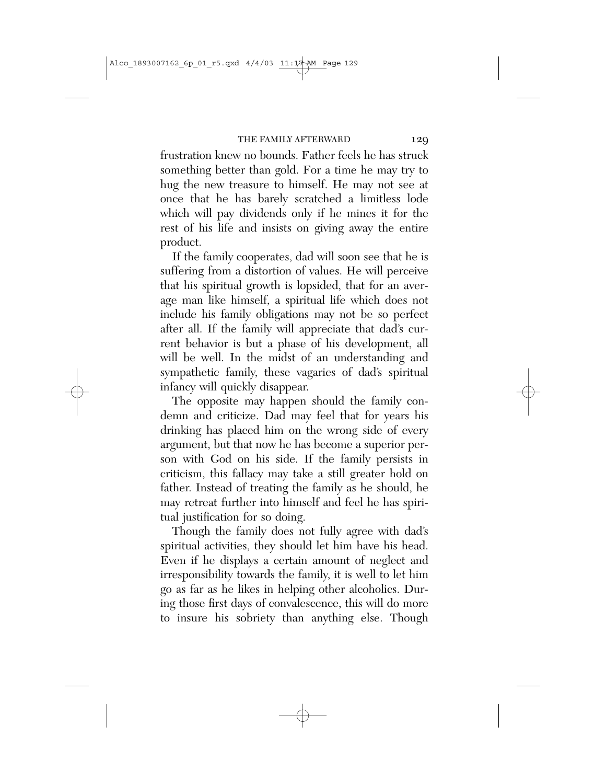frustration knew no bounds. Father feels he has struck something better than gold. For a time he may try to hug the new treasure to himself. He may not see at once that he has barely scratched a limitless lode which will pay dividends only if he mines it for the rest of his life and insists on giving away the entire product.

If the family cooperates, dad will soon see that he is suffering from a distortion of values. He will perceive that his spiritual growth is lopsided, that for an average man like himself, a spiritual life which does not include his family obligations may not be so perfect after all. If the family will appreciate that dad's current behavior is but a phase of his development, all will be well. In the midst of an understanding and sympathetic family, these vagaries of dad's spiritual infancy will quickly disappear.

The opposite may happen should the family condemn and criticize. Dad may feel that for years his drinking has placed him on the wrong side of every argument, but that now he has become a superior person with God on his side. If the family persists in criticism, this fallacy may take a still greater hold on father. Instead of treating the family as he should, he may retreat further into himself and feel he has spiritual justification for so doing.

Though the family does not fully agree with dad's spiritual activities, they should let him have his head. Even if he displays a certain amount of neglect and irresponsibility towards the family, it is well to let him go as far as he likes in helping other alcoholics. During those first days of convalescence, this will do more to insure his sobriety than anything else. Though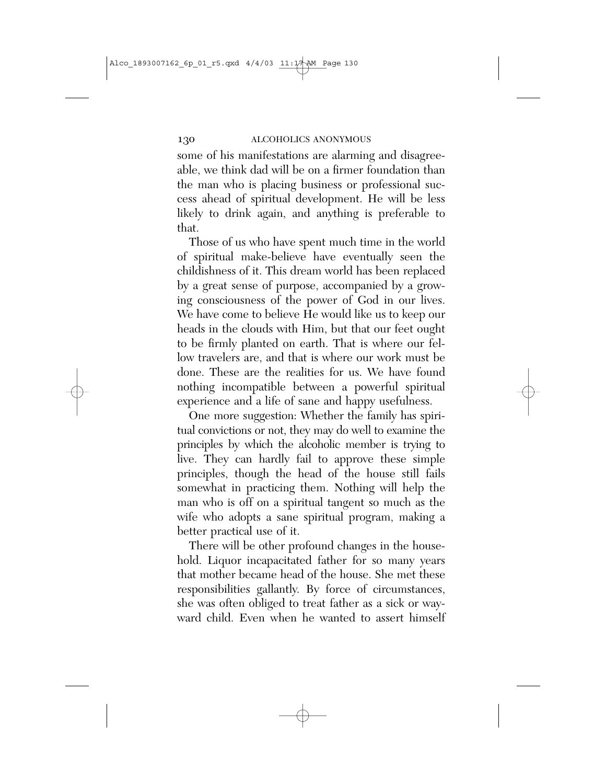some of his manifestations are alarming and disagreeable, we think dad will be on a firmer foundation than the man who is placing business or professional success ahead of spiritual development. He will be less likely to drink again, and anything is preferable to that.

Those of us who have spent much time in the world of spiritual make-believe have eventually seen the childishness of it. This dream world has been replaced by a great sense of purpose, accompanied by a growing consciousness of the power of God in our lives. We have come to believe He would like us to keep our heads in the clouds with Him, but that our feet ought to be firmly planted on earth. That is where our fellow travelers are, and that is where our work must be done. These are the realities for us. We have found nothing incompatible between a powerful spiritual experience and a life of sane and happy usefulness.

One more suggestion: Whether the family has spiritual convictions or not, they may do well to examine the principles by which the alcoholic member is trying to live. They can hardly fail to approve these simple principles, though the head of the house still fails somewhat in practicing them. Nothing will help the man who is off on a spiritual tangent so much as the wife who adopts a sane spiritual program, making a better practical use of it.

There will be other profound changes in the household. Liquor incapacitated father for so many years that mother became head of the house. She met these responsibilities gallantly. By force of circumstances, she was often obliged to treat father as a sick or wayward child. Even when he wanted to assert himself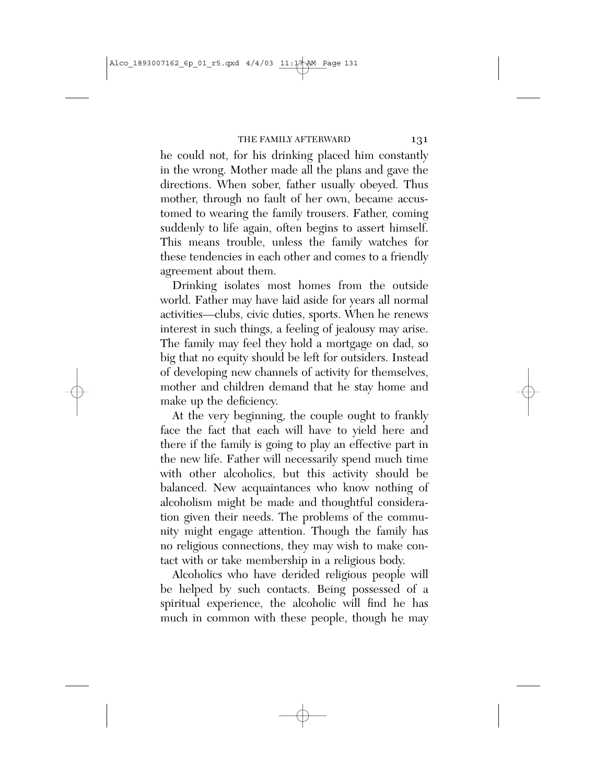he could not, for his drinking placed him constantly in the wrong. Mother made all the plans and gave the directions. When sober, father usually obeyed. Thus mother, through no fault of her own, became accustomed to wearing the family trousers. Father, coming suddenly to life again, often begins to assert himself. This means trouble, unless the family watches for these tendencies in each other and comes to a friendly agreement about them.

Drinking isolates most homes from the outside world. Father may have laid aside for years all normal activities—clubs, civic duties, sports. When he renews interest in such things, a feeling of jealousy may arise. The family may feel they hold a mortgage on dad, so big that no equity should be left for outsiders. Instead of developing new channels of activity for themselves, mother and children demand that he stay home and make up the deficiency.

At the very beginning, the couple ought to frankly face the fact that each will have to yield here and there if the family is going to play an effective part in the new life. Father will necessarily spend much time with other alcoholics, but this activity should be balanced. New acquaintances who know nothing of alcoholism might be made and thoughtful consideration given their needs. The problems of the community might engage attention. Though the family has no religious connections, they may wish to make contact with or take membership in a religious body.

Alcoholics who have derided religious people will be helped by such contacts. Being possessed of a spiritual experience, the alcoholic will find he has much in common with these people, though he may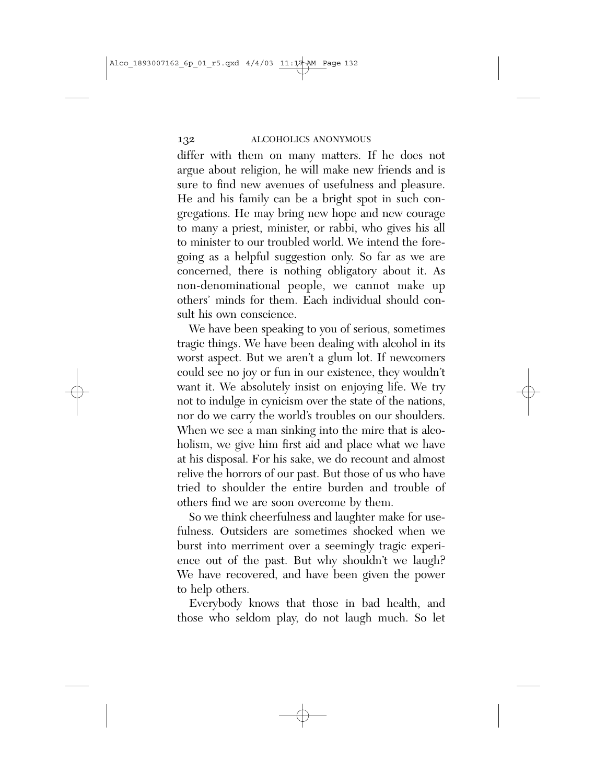differ with them on many matters. If he does not argue about religion, he will make new friends and is sure to find new avenues of usefulness and pleasure. He and his family can be a bright spot in such congregations. He may bring new hope and new courage to many a priest, minister, or rabbi, who gives his all to minister to our troubled world. We intend the foregoing as a helpful suggestion only. So far as we are concerned, there is nothing obligatory about it. As non-denominational people, we cannot make up others' minds for them. Each individual should consult his own conscience.

We have been speaking to you of serious, sometimes tragic things. We have been dealing with alcohol in its worst aspect. But we aren't a glum lot. If newcomers could see no joy or fun in our existence, they wouldn't want it. We absolutely insist on enjoying life. We try not to indulge in cynicism over the state of the nations, nor do we carry the world's troubles on our shoulders. When we see a man sinking into the mire that is alcoholism, we give him first aid and place what we have at his disposal. For his sake, we do recount and almost relive the horrors of our past. But those of us who have tried to shoulder the entire burden and trouble of others find we are soon overcome by them.

So we think cheerfulness and laughter make for usefulness. Outsiders are sometimes shocked when we burst into merriment over a seemingly tragic experience out of the past. But why shouldn't we laugh? We have recovered, and have been given the power to help others.

Everybody knows that those in bad health, and those who seldom play, do not laugh much. So let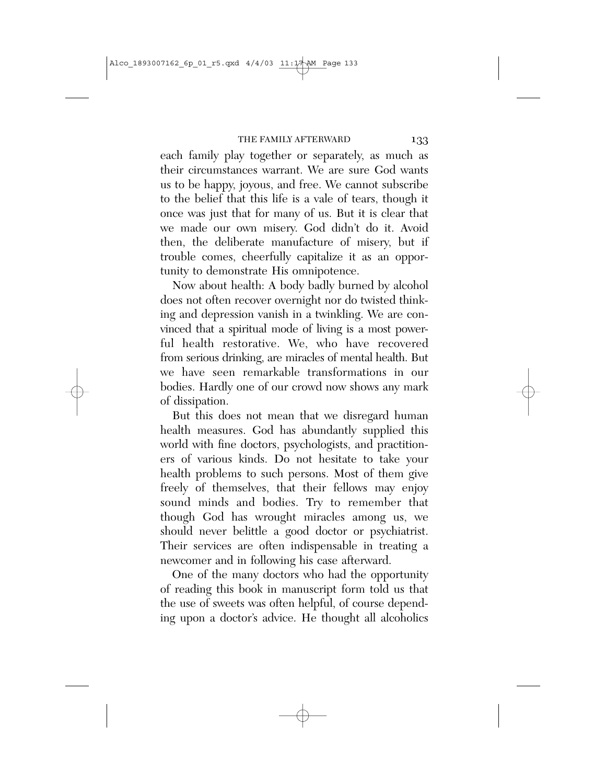each family play together or separately, as much as their circumstances warrant. We are sure God wants us to be happy, joyous, and free. We cannot subscribe to the belief that this life is a vale of tears, though it once was just that for many of us. But it is clear that we made our own misery. God didn't do it. Avoid then, the deliberate manufacture of misery, but if trouble comes, cheerfully capitalize it as an opportunity to demonstrate His omnipotence.

Now about health: A body badly burned by alcohol does not often recover overnight nor do twisted thinking and depression vanish in a twinkling. We are convinced that a spiritual mode of living is a most powerful health restorative. We, who have recovered from serious drinking, are miracles of mental health. But we have seen remarkable transformations in our bodies. Hardly one of our crowd now shows any mark of dissipation.

But this does not mean that we disregard human health measures. God has abundantly supplied this world with fine doctors, psychologists, and practitioners of various kinds. Do not hesitate to take your health problems to such persons. Most of them give freely of themselves, that their fellows may enjoy sound minds and bodies. Try to remember that though God has wrought miracles among us, we should never belittle a good doctor or psychiatrist. Their services are often indispensable in treating a newcomer and in following his case afterward.

One of the many doctors who had the opportunity of reading this book in manuscript form told us that the use of sweets was often helpful, of course depending upon a doctor's advice. He thought all alcoholics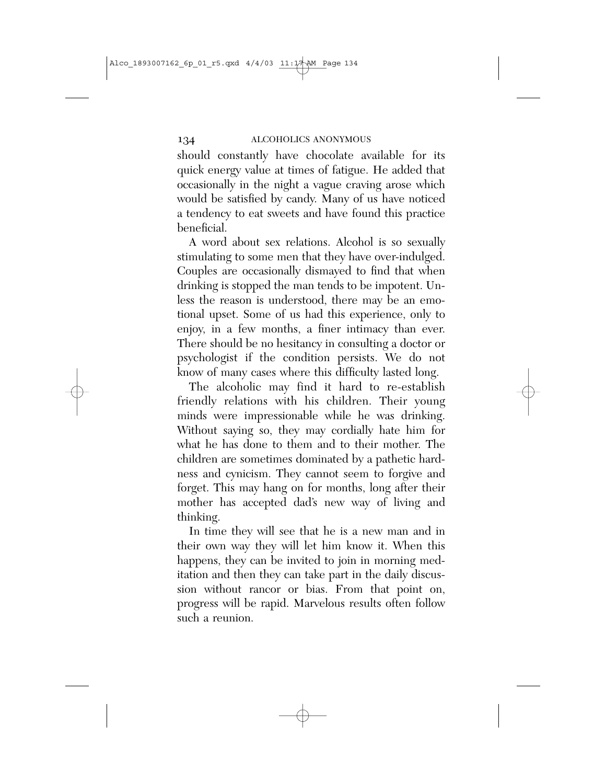should constantly have chocolate available for its quick energy value at times of fatigue. He added that occasionally in the night a vague craving arose which would be satisfied by candy. Many of us have noticed a tendency to eat sweets and have found this practice beneficial.

A word about sex relations. Alcohol is so sexually stimulating to some men that they have over-indulged. Couples are occasionally dismayed to find that when drinking is stopped the man tends to be impotent. Unless the reason is understood, there may be an emotional upset. Some of us had this experience, only to enjoy, in a few months, a finer intimacy than ever. There should be no hesitancy in consulting a doctor or psychologist if the condition persists. We do not know of many cases where this difficulty lasted long.

The alcoholic may find it hard to re-establish friendly relations with his children. Their young minds were impressionable while he was drinking. Without saying so, they may cordially hate him for what he has done to them and to their mother. The children are sometimes dominated by a pathetic hardness and cynicism. They cannot seem to forgive and forget. This may hang on for months, long after their mother has accepted dad's new way of living and thinking.

In time they will see that he is a new man and in their own way they will let him know it. When this happens, they can be invited to join in morning meditation and then they can take part in the daily discussion without rancor or bias. From that point on, progress will be rapid. Marvelous results often follow such a reunion.